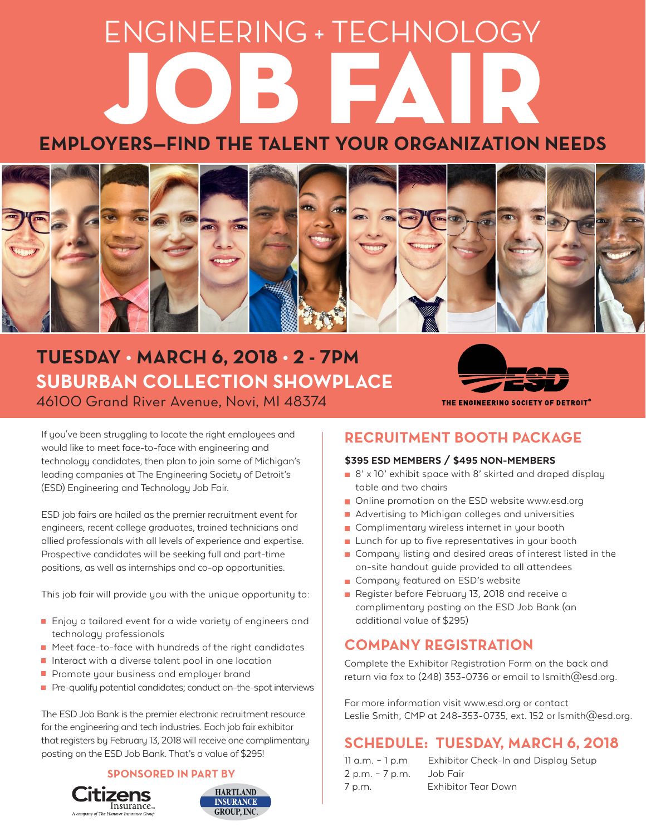# **EMPLOYERS—FIND THE TALENT YOUR ORGANIZATION NEEDS** ENGINEERING + TECHNOLOGY



## **TUESDAY • MARCH 6, 2018 • 2 - 7PM SUBURBAN COLLECTION SHOWPLACE**

46100 Grand River Avenue, Novi, MI 48374

THE ENGINEERING SOCIETY OF DETROIT® **RECRUITMENT BOOTH PACKAGE**

#### \$395 ESD MEMBERS / \$495 NON-MEMBERS

- $\blacksquare$  8' x 10' exhibit space with 8' skirted and draped display table and two chairs
- **Online promotion on the ESD website www.esd.org**
- **Advertising to Michigan colleges and universities**
- **Complimentary wireless internet in your booth**
- **Lunch for up to five representatives in your booth**
- **Company listing and desired areas of interest listed in the** on-site handout guide provided to all attendees
- **Company featured on ESD's website**
- **Register before February 13, 2018 and receive a** complimentary posting on the ESD Job Bank (an additional value of \$295)

### **COMPANY REGISTRATION**

Complete the Exhibitor Registration Form on the back and return via fax to (248) 353-0736 or email to lsmith@esd.org.

For more information visit www.esd.org or contact Leslie Smith, CMP at 248-353-0735, ext. 152 or lsmith@esd.org.

### **SCHEDULE: TUESDAY, MARCH 6, 2018**

| 11 a.m. - 1 p.m | Exhibitor Check-In and Display Setup |
|-----------------|--------------------------------------|
| 2 p.m. - 7 p.m. | Job Fair                             |
| 7 p.m.          | Exhibitor Tear Down                  |

If you've been struggling to locate the right employees and would like to meet face-to-face with engineering and technology candidates, then plan to join some of Michigan's leading companies at The Engineering Society of Detroit's (ESD) Engineering and Technology Job Fair.

ESD job fairs are hailed as the premier recruitment event for engineers, recent college graduates, trained technicians and allied professionals with all levels of experience and expertise. Prospective candidates will be seeking full and part-time positions, as well as internships and co-op opportunities.

This job fair will provide you with the unique opportunity to:

- Enjoy a tailored event for a wide variety of engineers and technology professionals
- Meet face-to-face with hundreds of the right candidates
- **Interact with a diverse talent pool in one location**
- **Promote your business and employer brand**
- **•** Pre-qualify potential candidates; conduct on-the-spot interviews

The ESD Job Bank is the premier electronic recruitment resource for the engineering and tech industries. Each job fair exhibitor that registers by February 13, 2018 will receive one complimentary posting on the ESD Job Bank. That's a value of \$295!

#### **SPONSORED IN PART BY**